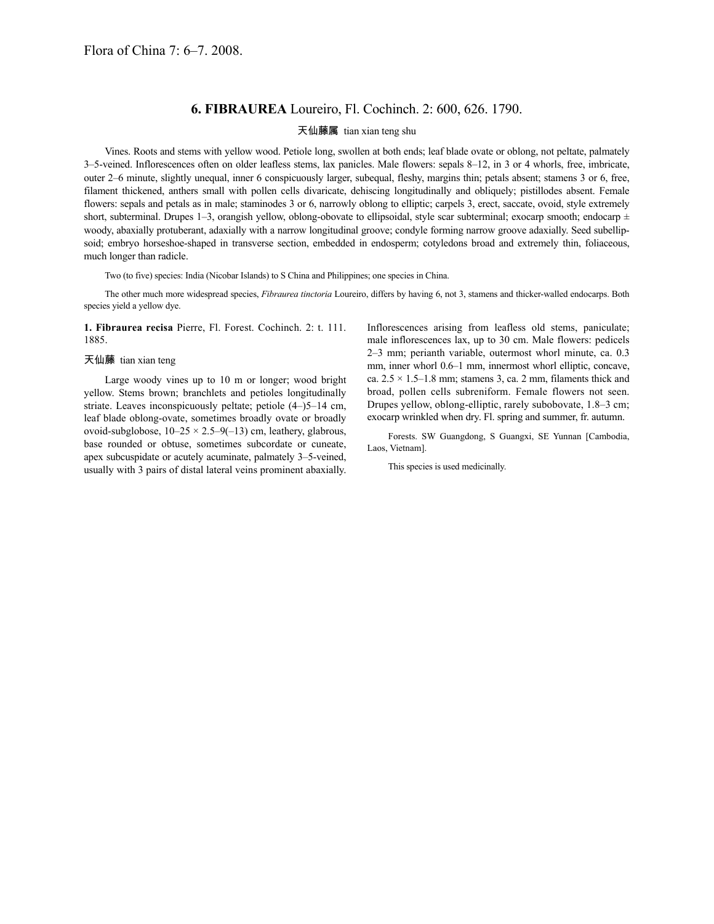## **6. FIBRAUREA** Loureiro, Fl. Cochinch. 2: 600, 626. 1790.

## 天仙藤属 tian xian teng shu

Vines. Roots and stems with yellow wood. Petiole long, swollen at both ends; leaf blade ovate or oblong, not peltate, palmately 3–5-veined. Inflorescences often on older leafless stems, lax panicles. Male flowers: sepals 8–12, in 3 or 4 whorls, free, imbricate, outer 2–6 minute, slightly unequal, inner 6 conspicuously larger, subequal, fleshy, margins thin; petals absent; stamens 3 or 6, free, filament thickened, anthers small with pollen cells divaricate, dehiscing longitudinally and obliquely; pistillodes absent. Female flowers: sepals and petals as in male; staminodes 3 or 6, narrowly oblong to elliptic; carpels 3, erect, saccate, ovoid, style extremely short, subterminal. Drupes 1–3, orangish yellow, oblong-obovate to ellipsoidal, style scar subterminal; exocarp smooth; endocarp  $\pm$ woody, abaxially protuberant, adaxially with a narrow longitudinal groove; condyle forming narrow groove adaxially. Seed subellipsoid; embryo horseshoe-shaped in transverse section, embedded in endosperm; cotyledons broad and extremely thin, foliaceous, much longer than radicle.

Two (to five) species: India (Nicobar Islands) to S China and Philippines; one species in China.

The other much more widespread species, *Fibraurea tinctoria* Loureiro, differs by having 6, not 3, stamens and thicker-walled endocarps. Both species yield a yellow dye.

**1. Fibraurea recisa** Pierre, Fl. Forest. Cochinch. 2: t. 111. 1885.

## 天仙藤 tian xian teng

Large woody vines up to 10 m or longer; wood bright yellow. Stems brown; branchlets and petioles longitudinally striate. Leaves inconspicuously peltate; petiole (4–)5–14 cm, leaf blade oblong-ovate, sometimes broadly ovate or broadly ovoid-subglobose,  $10-25 \times 2.5-9(-13)$  cm, leathery, glabrous, base rounded or obtuse, sometimes subcordate or cuneate, apex subcuspidate or acutely acuminate, palmately 3–5-veined, usually with 3 pairs of distal lateral veins prominent abaxially. Inflorescences arising from leafless old stems, paniculate; male inflorescences lax, up to 30 cm. Male flowers: pedicels 2–3 mm; perianth variable, outermost whorl minute, ca. 0.3 mm, inner whorl 0.6–1 mm, innermost whorl elliptic, concave, ca.  $2.5 \times 1.5$ –1.8 mm; stamens 3, ca. 2 mm, filaments thick and broad, pollen cells subreniform. Female flowers not seen. Drupes yellow, oblong-elliptic, rarely subobovate, 1.8–3 cm; exocarp wrinkled when dry. Fl. spring and summer, fr. autumn.

Forests. SW Guangdong, S Guangxi, SE Yunnan [Cambodia, Laos, Vietnam].

This species is used medicinally.